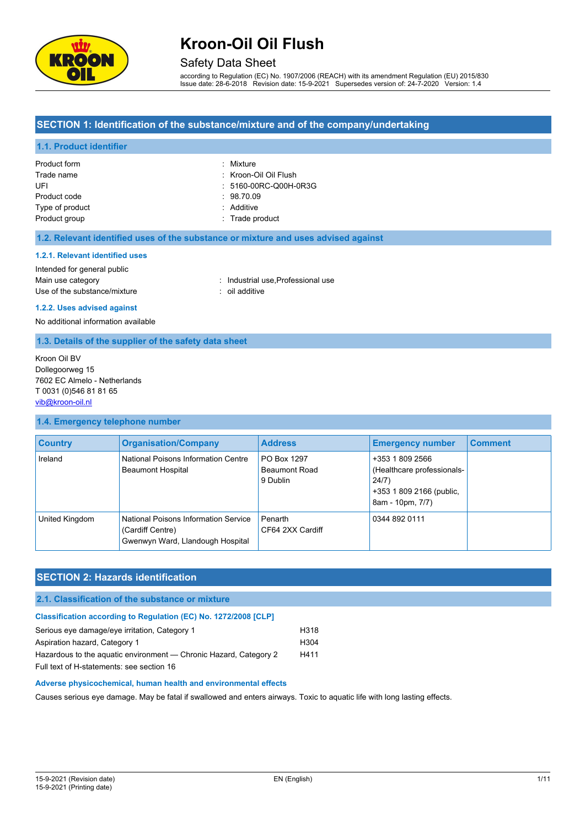

### Safety Data Sheet

according to Regulation (EC) No. 1907/2006 (REACH) with its amendment Regulation (EU) 2015/830 Issue date: 28-6-2018 Revision date: 15-9-2021 Supersedes version of: 24-7-2020 Version: 1.4

#### **SECTION 1: Identification of the substance/mixture and of the company/undertaking**

#### **1.1. Product identifier**

| <b>Product form</b> | : Mixture             |
|---------------------|-----------------------|
| Trade name          | : Kroon-Oil Oil Flush |
| UFL                 | : 5160-00RC-Q00H-0R3G |
| Product code        | : 98.70.09            |
| Type of product     | : Additive            |
| Product group       | : Trade product       |

#### **1.2. Relevant identified uses of the substance or mixture and uses advised against**

#### **1.2.1. Relevant identified uses**

Intended for general public Main use category **Main use category industrial use, Professional use** Use of the substance/mixture in the substance of the substance of the substance of the substance of the substance of the substance of the substance of the substance of the substance of the substance of the substance of the

## **1.2.2. Uses advised against**

No additional information available

#### **1.3. Details of the supplier of the safety data sheet**

Kroon Oil BV Dollegoorweg 15 7602 EC Almelo - Netherlands T 0031 (0)546 81 81 65 [vib@kroon-oil.nl](mailto:vib@kroon-oil.nl)

#### **1.4. Emergency telephone number**

| <b>Country</b> | <b>Organisation/Company</b>                                                                  | <b>Address</b>                                  | <b>Emergency number</b>                                                                                | <b>Comment</b> |
|----------------|----------------------------------------------------------------------------------------------|-------------------------------------------------|--------------------------------------------------------------------------------------------------------|----------------|
| Ireland        | National Poisons Information Centre<br><b>Beaumont Hospital</b>                              | PO Box 1297<br><b>Beaumont Road</b><br>9 Dublin | +353 1 809 2566<br>(Healthcare professionals-<br>24/7)<br>+353 1 809 2166 (public,<br>8am - 10pm, 7/7) |                |
| United Kingdom | National Poisons Information Service<br>(Cardiff Centre)<br>Gwenwyn Ward, Llandough Hospital | Penarth<br>CF64 2XX Cardiff                     | 0344 892 0111                                                                                          |                |

### **SECTION 2: Hazards identification**

#### **2.1. Classification of the substance or mixture**

## **Classification according to Regulation (EC) No. 1272/2008 [CLP]**

| Serious eye damage/eye irritation, Category 1                     | H318 |
|-------------------------------------------------------------------|------|
| Aspiration hazard, Category 1                                     | H304 |
| Hazardous to the aquatic environment — Chronic Hazard, Category 2 | H411 |
| Full text of H-statements: see section 16                         |      |

#### **Adverse physicochemical, human health and environmental effects**

Causes serious eye damage. May be fatal if swallowed and enters airways. Toxic to aquatic life with long lasting effects.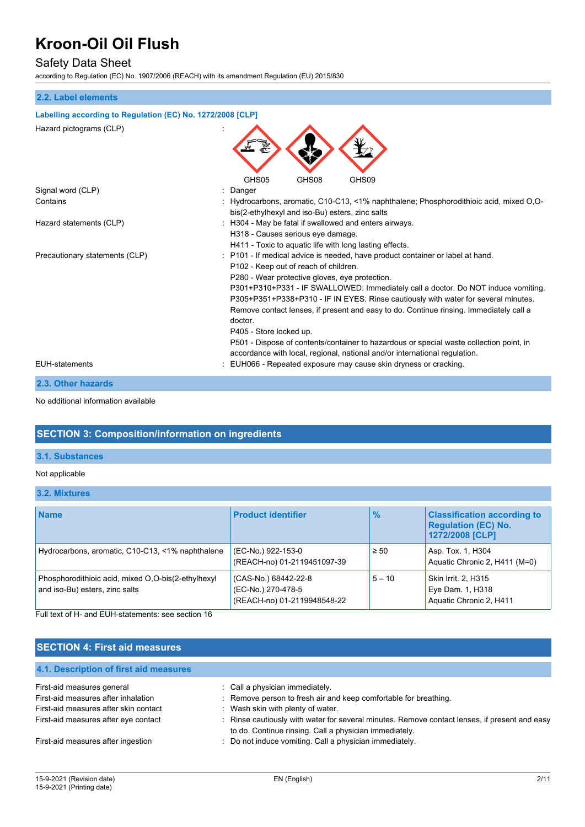## Safety Data Sheet

according to Regulation (EC) No. 1907/2006 (REACH) with its amendment Regulation (EU) 2015/830

#### **2.2. Label elements**

#### **Labelling according to Regulation (EC) No. 1272/2008 [CLP]**

| Hazard pictograms (CLP)        |                                                                                                                                                                                                                                                                                                                                                                                                                                                                                                                                                                                                                                                               |  |  |
|--------------------------------|---------------------------------------------------------------------------------------------------------------------------------------------------------------------------------------------------------------------------------------------------------------------------------------------------------------------------------------------------------------------------------------------------------------------------------------------------------------------------------------------------------------------------------------------------------------------------------------------------------------------------------------------------------------|--|--|
|                                | GHS08<br>GHS05<br>GHS09                                                                                                                                                                                                                                                                                                                                                                                                                                                                                                                                                                                                                                       |  |  |
| Signal word (CLP)              | Danger                                                                                                                                                                                                                                                                                                                                                                                                                                                                                                                                                                                                                                                        |  |  |
| Contains                       | : Hydrocarbons, aromatic, C10-C13, <1% naphthalene; Phosphorodithioic acid, mixed O,O-<br>bis(2-ethylhexyl and iso-Bu) esters, zinc salts                                                                                                                                                                                                                                                                                                                                                                                                                                                                                                                     |  |  |
| Hazard statements (CLP)        | H304 - May be fatal if swallowed and enters airways.<br>H318 - Causes serious eye damage.<br>H411 - Toxic to aquatic life with long lasting effects.                                                                                                                                                                                                                                                                                                                                                                                                                                                                                                          |  |  |
| Precautionary statements (CLP) | : P101 - If medical advice is needed, have product container or label at hand.<br>P102 - Keep out of reach of children.<br>P280 - Wear protective gloves, eye protection.<br>P301+P310+P331 - IF SWALLOWED: Immediately call a doctor. Do NOT induce vomiting.<br>P305+P351+P338+P310 - IF IN EYES: Rinse cautiously with water for several minutes.<br>Remove contact lenses, if present and easy to do. Continue rinsing. Immediately call a<br>doctor.<br>P405 - Store locked up.<br>P501 - Dispose of contents/container to hazardous or special waste collection point, in<br>accordance with local, regional, national and/or international regulation. |  |  |
| <b>EUH-statements</b>          | EUH066 - Repeated exposure may cause skin dryness or cracking.                                                                                                                                                                                                                                                                                                                                                                                                                                                                                                                                                                                                |  |  |

**2.3. Other hazards**

No additional information available

### **SECTION 3: Composition/information on ingredients**

### **3.1. Substances**

#### Not applicable

#### **3.2. Mixtures**

| <b>Name</b>                                                                          | <b>Product identifier</b>                                                 | $\frac{9}{6}$ | <b>Classification according to</b><br><b>Regulation (EC) No.</b><br>1272/2008 [CLP] |
|--------------------------------------------------------------------------------------|---------------------------------------------------------------------------|---------------|-------------------------------------------------------------------------------------|
| Hydrocarbons, aromatic, C10-C13, <1% naphthalene                                     | (EC-No.) 922-153-0<br>(REACH-no) 01-2119451097-39                         | $\geq 50$     | Asp. Tox. 1, H304<br>Aquatic Chronic 2, H411 (M=0)                                  |
| Phosphorodithioic acid, mixed O,O-bis(2-ethylhexyl<br>and iso-Bu) esters, zinc salts | (CAS-No.) 68442-22-8<br>(EC-No.) 270-478-5<br>(REACH-no) 01-2119948548-22 | $5 - 10$      | Skin Irrit. 2, H315<br>Eye Dam. 1, H318<br>Aquatic Chronic 2, H411                  |

Full text of H- and EUH-statements: see section 16

## **SECTION 4: First aid measures**

#### **4.1. Description of first aid measures**

| First-aid measures general            | Call a physician immediately.                                                                 |
|---------------------------------------|-----------------------------------------------------------------------------------------------|
| First-aid measures after inhalation   | : Remove person to fresh air and keep comfortable for breathing.                              |
| First-aid measures after skin contact | : Wash skin with plenty of water.                                                             |
| First-aid measures after eye contact  | : Rinse cautiously with water for several minutes. Remove contact lenses, if present and easy |
|                                       | to do. Continue rinsing. Call a physician immediately.                                        |
| First-aid measures after ingestion    | : Do not induce vomiting. Call a physician immediately.                                       |
|                                       |                                                                                               |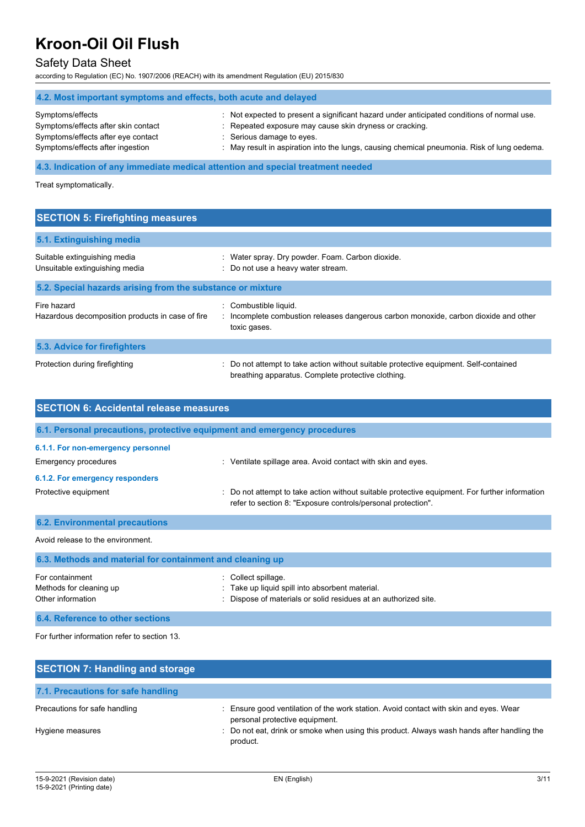## Safety Data Sheet

according to Regulation (EC) No. 1907/2006 (REACH) with its amendment Regulation (EU) 2015/830

### **4.2. Most important symptoms and effects, both acute and delayed**

| Symptoms/effects                    | Not expected to present a significant hazard under anticipated conditions of normal use.                       |
|-------------------------------------|----------------------------------------------------------------------------------------------------------------|
| Symptoms/effects after skin contact | Repeated exposure may cause skin dryness or cracking.                                                          |
| Symptoms/effects after eye contact  | : Serious damage to eyes.                                                                                      |
| Symptoms/effects after ingestion    | May result in aspiration into the lungs, causing chemical pneumonia. Risk of lung oedema.                      |
|                                     |                                                                                                                |
|                                     | . A 10 The abbreviation of a contribution of a factor and a band and a contribution of the and contribution of |

#### **4.3. Indication of any immediate medical attention and special treatment needed**

Treat symptomatically.

## **SECTION 5: Firefighting measures**

| 5.1. Extinguishing media                                        |                                                                                                                                             |
|-----------------------------------------------------------------|---------------------------------------------------------------------------------------------------------------------------------------------|
| Suitable extinguishing media<br>Unsuitable extinguishing media  | : Water spray. Dry powder. Foam. Carbon dioxide.<br>: Do not use a heavy water stream.                                                      |
| 5.2. Special hazards arising from the substance or mixture      |                                                                                                                                             |
| Fire hazard<br>Hazardous decomposition products in case of fire | : Combustible liquid.<br>: Incomplete combustion releases dangerous carbon monoxide, carbon dioxide and other<br>toxic gases.               |
| 5.3. Advice for firefighters                                    |                                                                                                                                             |
| Protection during firefighting                                  | : Do not attempt to take action without suitable protective equipment. Self-contained<br>breathing apparatus. Complete protective clothing. |

| <b>SECTION 6: Accidental release measures</b>                     |                                                                                                                                                              |  |  |  |  |
|-------------------------------------------------------------------|--------------------------------------------------------------------------------------------------------------------------------------------------------------|--|--|--|--|
|                                                                   | 6.1. Personal precautions, protective equipment and emergency procedures                                                                                     |  |  |  |  |
| 6.1.1. For non-emergency personnel<br><b>Emergency procedures</b> | : Ventilate spillage area. Avoid contact with skin and eyes.                                                                                                 |  |  |  |  |
| 6.1.2. For emergency responders                                   |                                                                                                                                                              |  |  |  |  |
| Protective equipment                                              | Do not attempt to take action without suitable protective equipment. For further information<br>refer to section 8: "Exposure controls/personal protection". |  |  |  |  |
| <b>6.2. Environmental precautions</b>                             |                                                                                                                                                              |  |  |  |  |
| Avoid release to the environment.                                 |                                                                                                                                                              |  |  |  |  |
| 6.3. Methods and material for containment and cleaning up         |                                                                                                                                                              |  |  |  |  |
| For containment<br>Methods for cleaning up<br>Other information   | Collect spillage.<br>: Take up liquid spill into absorbent material.<br>Dispose of materials or solid residues at an authorized site.                        |  |  |  |  |
| 6.4. Reference to other sections                                  |                                                                                                                                                              |  |  |  |  |

For further information refer to section 13.

| <b>SECTION 7: Handling and storage</b> |                                                                                                                         |
|----------------------------------------|-------------------------------------------------------------------------------------------------------------------------|
| 7.1. Precautions for safe handling     |                                                                                                                         |
| Precautions for safe handling          | : Ensure good ventilation of the work station. Avoid contact with skin and eyes. Wear<br>personal protective equipment. |
| Hygiene measures                       | : Do not eat, drink or smoke when using this product. Always wash hands after handling the<br>product.                  |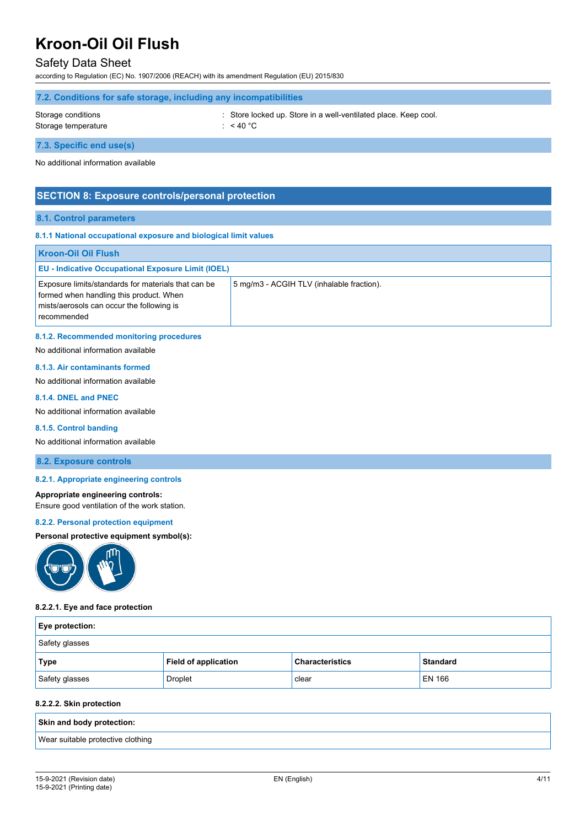### Safety Data Sheet

according to Regulation (EC) No. 1907/2006 (REACH) with its amendment Regulation (EU) 2015/830

# **7.2. Conditions for safe storage, including any incompatibilities**

Storage temperature  $: < 40 °C$ 

Storage conditions : Store locked up. Store in a well-ventilated place. Keep cool.

**7.3. Specific end use(s)**

No additional information available

### **SECTION 8: Exposure controls/personal protection**

#### **8.1. Control parameters**

#### **8.1.1 National occupational exposure and biological limit values**

| <b>Kroon-Oil Oil Flush</b>                                                                                                                                 |                                           |
|------------------------------------------------------------------------------------------------------------------------------------------------------------|-------------------------------------------|
| <b>EU - Indicative Occupational Exposure Limit (IOEL)</b>                                                                                                  |                                           |
| Exposure limits/standards for materials that can be<br>formed when handling this product. When<br>mists/aerosols can occur the following is<br>recommended | 5 mg/m3 - ACGIH TLV (inhalable fraction). |

#### **8.1.2. Recommended monitoring procedures**

No additional information available

#### **8.1.3. Air contaminants formed**

No additional information available

#### **8.1.4. DNEL and PNEC**

No additional information available

#### **8.1.5. Control banding**

No additional information available

#### **8.2. Exposure controls**

#### **8.2.1. Appropriate engineering controls**

#### **Appropriate engineering controls:**

Ensure good ventilation of the work station.

#### **8.2.2. Personal protection equipment**

#### **Personal protective equipment symbol(s):**



#### **8.2.2.1. Eye and face protection**

| <b>Eye protection:</b> |                             |                        |                 |  |
|------------------------|-----------------------------|------------------------|-----------------|--|
| Safety glasses         |                             |                        |                 |  |
| Type                   | <b>Field of application</b> | <b>Characteristics</b> | <b>Standard</b> |  |
| Safety glasses         | Droplet                     | clear                  | <b>EN 166</b>   |  |

#### **8.2.2.2. Skin protection**

| Skin and body protection:         |  |
|-----------------------------------|--|
| Wear suitable protective clothing |  |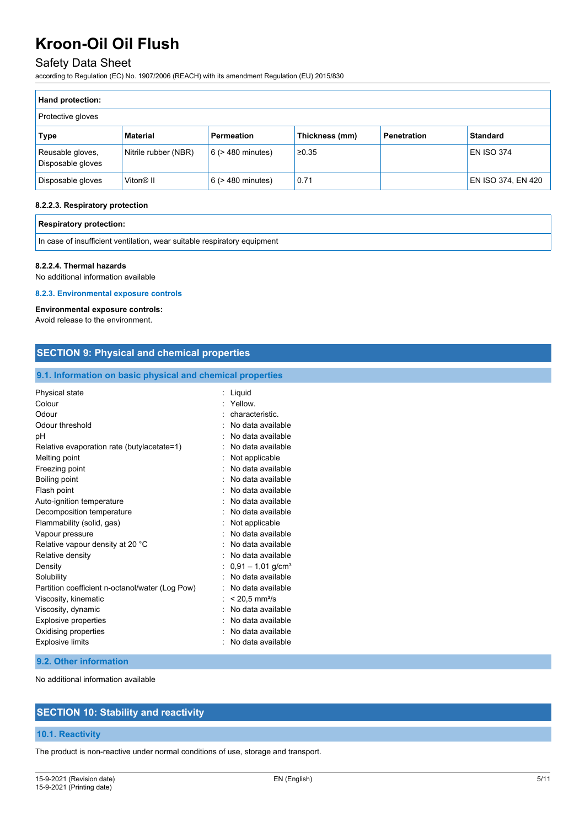## Safety Data Sheet

according to Regulation (EC) No. 1907/2006 (REACH) with its amendment Regulation (EU) 2015/830

| <b>Hand protection:</b>               |                       |                        |                |                    |                    |
|---------------------------------------|-----------------------|------------------------|----------------|--------------------|--------------------|
| Protective gloves                     |                       |                        |                |                    |                    |
| Type                                  | <b>Material</b>       | Permeation             | Thickness (mm) | <b>Penetration</b> | <b>Standard</b>    |
| Reusable gloves,<br>Disposable gloves | Nitrile rubber (NBR)  | $6$ ( $>$ 480 minutes) | ≥0.35          |                    | <b>EN ISO 374</b>  |
| Disposable gloves                     | Viton <sup>®</sup> II | $6$ ( $>$ 480 minutes) | 0.71           |                    | EN ISO 374, EN 420 |

#### **8.2.2.3. Respiratory protection**

| <b>Respiratory protection:</b>                                           |  |
|--------------------------------------------------------------------------|--|
| In case of insufficient ventilation, wear suitable respiratory equipment |  |

#### **8.2.2.4. Thermal hazards**

No additional information available

#### **8.2.3. Environmental exposure controls**

#### **Environmental exposure controls:**

Avoid release to the environment.

| 9.1. Information on basic physical and chemical properties |                                 |  |
|------------------------------------------------------------|---------------------------------|--|
| Physical state                                             | ÷<br>Liquid                     |  |
| Colour                                                     | Yellow                          |  |
| Odour                                                      | characteristic.                 |  |
| Odour threshold                                            | No data available               |  |
| pH                                                         | No data available               |  |
| Relative evaporation rate (butylacetate=1)                 | No data available               |  |
| Melting point                                              | Not applicable                  |  |
| Freezing point                                             | No data available               |  |
| Boiling point                                              | No data available               |  |
| Flash point                                                | No data available               |  |
| Auto-ignition temperature                                  | No data available               |  |
| Decomposition temperature                                  | No data available               |  |
| Flammability (solid, gas)                                  | Not applicable                  |  |
| Vapour pressure                                            | No data available               |  |
| Relative vapour density at 20 °C                           | No data available               |  |
| Relative density                                           | No data available               |  |
| Density                                                    | $0.91 - 1.01$ g/cm <sup>3</sup> |  |
| Solubility                                                 | No data available               |  |
| Partition coefficient n-octanol/water (Log Pow)            | No data available               |  |
| Viscosity, kinematic                                       | $< 20.5$ mm <sup>2</sup> /s     |  |
| Viscosity, dynamic                                         | No data available               |  |
| <b>Explosive properties</b>                                | No data available               |  |
| Oxidising properties                                       | No data available               |  |
| <b>Explosive limits</b>                                    | No data available               |  |

No additional information available

### **SECTION 10: Stability and reactivity**

#### **10.1. Reactivity**

The product is non-reactive under normal conditions of use, storage and transport.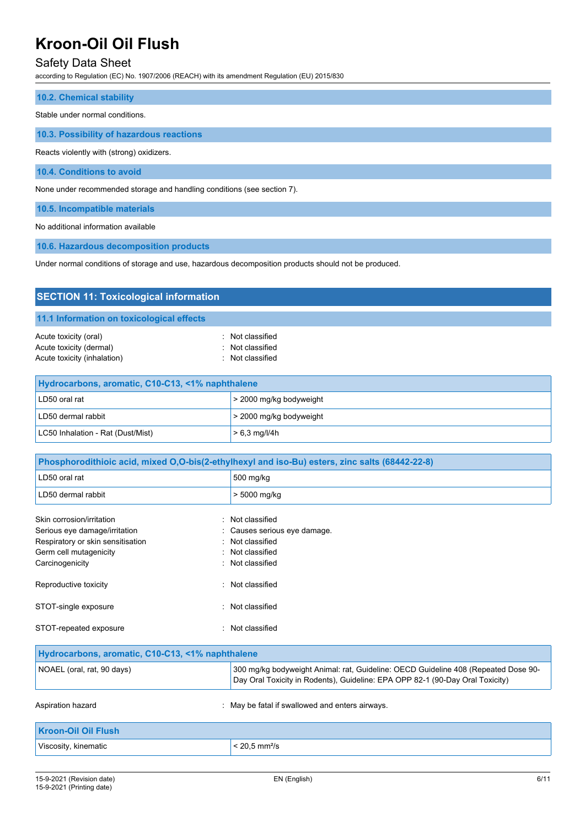## Safety Data Sheet

according to Regulation (EC) No. 1907/2006 (REACH) with its amendment Regulation (EU) 2015/830

**10.2. Chemical stability**

Stable under normal conditions.

**10.3. Possibility of hazardous reactions**

Reacts violently with (strong) oxidizers.

**10.4. Conditions to avoid**

None under recommended storage and handling conditions (see section 7).

LC50 Inhalation - Rat (Dust/Mist)  $\vert$  > 6,3 mg/l/4h

**10.5. Incompatible materials**

No additional information available

**10.6. Hazardous decomposition products**

Under normal conditions of storage and use, hazardous decomposition products should not be produced.

| <b>SECTION 11: Toxicological information</b>                                    |                                                          |  |  |  |
|---------------------------------------------------------------------------------|----------------------------------------------------------|--|--|--|
| 11.1 Information on toxicological effects                                       |                                                          |  |  |  |
| Acute toxicity (oral)<br>Acute toxicity (dermal)<br>Acute toxicity (inhalation) | : Not classified<br>: Not classified<br>: Not classified |  |  |  |
| Hydrocarbons, aromatic, C10-C13, <1% naphthalene                                |                                                          |  |  |  |
| LD50 oral rat                                                                   | > 2000 mg/kg bodyweight                                  |  |  |  |
| LD50 dermal rabbit                                                              | > 2000 mg/kg bodyweight                                  |  |  |  |

| Phosphorodithioic acid, mixed O,O-bis(2-ethylhexyl and iso-Bu) esters, zinc salts (68442-22-8) |                              |  |  |
|------------------------------------------------------------------------------------------------|------------------------------|--|--|
| LD50 oral rat                                                                                  | 500 mg/kg                    |  |  |
| LD50 dermal rabbit                                                                             | > 5000 mg/kg                 |  |  |
| Skin corrosion/irritation                                                                      | : Not classified             |  |  |
| Serious eye damage/irritation                                                                  | : Causes serious eye damage. |  |  |
| Respiratory or skin sensitisation                                                              | : Not classified             |  |  |
| Germ cell mutagenicity                                                                         | : Not classified             |  |  |
| Carcinogenicity                                                                                | : Not classified             |  |  |
| Reproductive toxicity                                                                          | Not classified<br>٠.         |  |  |
| STOT-single exposure                                                                           | : Not classified             |  |  |
| STOT-repeated exposure                                                                         | Not classified<br>۰.         |  |  |
|                                                                                                |                              |  |  |

| Hydrocarbons, aromatic, C10-C13, <1% naphthalene                     |                                                                                                                                                                     |  |  |  |
|----------------------------------------------------------------------|---------------------------------------------------------------------------------------------------------------------------------------------------------------------|--|--|--|
| NOAEL (oral, rat, 90 days)                                           | 300 mg/kg bodyweight Animal: rat, Guideline: OECD Guideline 408 (Repeated Dose 90-<br>Day Oral Toxicity in Rodents), Guideline: EPA OPP 82-1 (90-Day Oral Toxicity) |  |  |  |
| : May be fatal if swallowed and enters airways.<br>Aspiration hazard |                                                                                                                                                                     |  |  |  |
| <b>Kroon-Oil Oil Flush</b>                                           |                                                                                                                                                                     |  |  |  |
| Viscosity, kinematic                                                 | $< 20.5$ mm <sup>2</sup> /s                                                                                                                                         |  |  |  |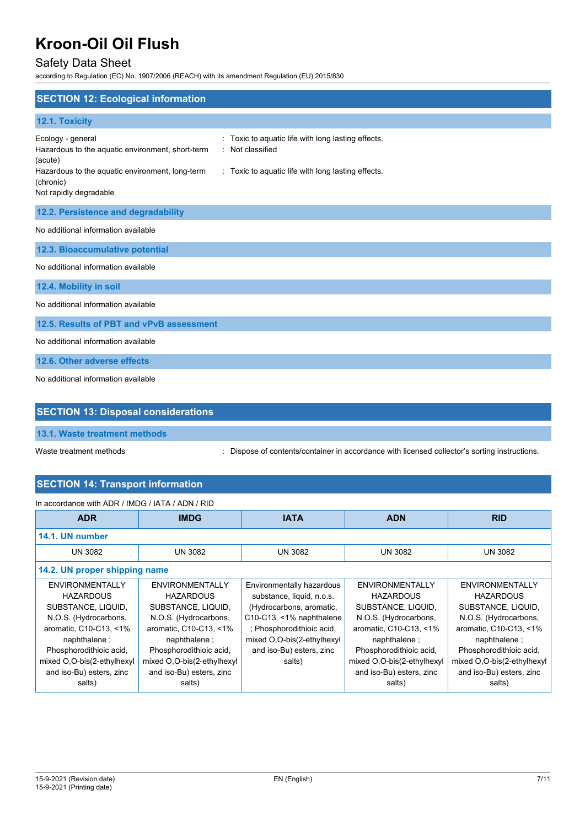## Safety Data Sheet

according to Regulation (EC) No. 1907/2006 (REACH) with its amendment Regulation (EU) 2015/830

| <b>SECTION 12: Ecological information</b>                                                                                                                                              |                                                                                                                          |
|----------------------------------------------------------------------------------------------------------------------------------------------------------------------------------------|--------------------------------------------------------------------------------------------------------------------------|
| 12.1. Toxicity                                                                                                                                                                         |                                                                                                                          |
| Ecology - general<br>÷.<br>Hazardous to the aquatic environment, short-term<br>۰.<br>(acute)<br>Hazardous to the aquatic environment, long-term<br>(chronic)<br>Not rapidly degradable | Toxic to aquatic life with long lasting effects.<br>Not classified<br>: Toxic to aquatic life with long lasting effects. |
| 12.2. Persistence and degradability                                                                                                                                                    |                                                                                                                          |
| No additional information available                                                                                                                                                    |                                                                                                                          |
| 12.3. Bioaccumulative potential                                                                                                                                                        |                                                                                                                          |
| No additional information available                                                                                                                                                    |                                                                                                                          |
| 12.4. Mobility in soil                                                                                                                                                                 |                                                                                                                          |
| No additional information available                                                                                                                                                    |                                                                                                                          |
| 12.5. Results of PBT and vPvB assessment                                                                                                                                               |                                                                                                                          |
| No additional information available                                                                                                                                                    |                                                                                                                          |
| 12.6. Other adverse effects                                                                                                                                                            |                                                                                                                          |
| No additional information available                                                                                                                                                    |                                                                                                                          |

### **SECTION 13: Disposal considerations**

#### **13.1. Waste treatment methods**

Waste treatment methods **interpret on the Content** of Contents/container in accordance with licensed collector's sorting instructions.

### **SECTION 14: Transport information**

| In accordance with ADR / IMDG / IATA / ADN / RID |                            |                            |                            |                            |  |
|--------------------------------------------------|----------------------------|----------------------------|----------------------------|----------------------------|--|
| <b>ADR</b>                                       | <b>IMDG</b>                | <b>IATA</b>                | <b>ADN</b>                 | <b>RID</b>                 |  |
| 14.1. UN number                                  |                            |                            |                            |                            |  |
| <b>UN 3082</b>                                   | <b>UN 3082</b>             | <b>UN 3082</b>             | <b>UN 3082</b>             | <b>UN 3082</b>             |  |
| 14.2. UN proper shipping name                    |                            |                            |                            |                            |  |
| ENVIRONMENTALLY                                  | ENVIRONMENTALLY            | Environmentally hazardous  | ENVIRONMENTALLY            | ENVIRONMENTALLY            |  |
| <b>HAZARDOUS</b>                                 | <b>HAZARDOUS</b>           | substance, liquid, n.o.s.  | <b>HAZARDOUS</b>           | <b>HAZARDOUS</b>           |  |
| SUBSTANCE, LIQUID,                               | SUBSTANCE, LIQUID,         | (Hydrocarbons, aromatic,   | SUBSTANCE, LIQUID,         | SUBSTANCE, LIQUID,         |  |
| N.O.S. (Hydrocarbons,                            | N.O.S. (Hydrocarbons,      | C10-C13, <1% naphthalene   | N.O.S. (Hydrocarbons,      | N.O.S. (Hydrocarbons,      |  |
| aromatic, C10-C13, <1%                           | aromatic, C10-C13, <1%     | ; Phosphorodithioic acid,  | aromatic, C10-C13, <1%     | aromatic, C10-C13, <1%     |  |
| naphthalene;                                     | naphthalene;               | mixed O,O-bis(2-ethylhexyl | naphthalene ;              | naphthalene;               |  |
| Phosphorodithioic acid,                          | Phosphorodithioic acid,    | and iso-Bu) esters, zinc   | Phosphorodithioic acid,    | Phosphorodithioic acid,    |  |
| mixed O,O-bis(2-ethylhexyl                       | mixed O,O-bis(2-ethylhexyl | salts)                     | mixed O,O-bis(2-ethylhexyl | mixed O,O-bis(2-ethylhexyl |  |
| and iso-Bu) esters, zinc                         | and iso-Bu) esters, zinc   |                            | and iso-Bu) esters, zinc   | and iso-Bu) esters, zinc   |  |
| salts)                                           | salts)                     |                            | salts)                     | salts)                     |  |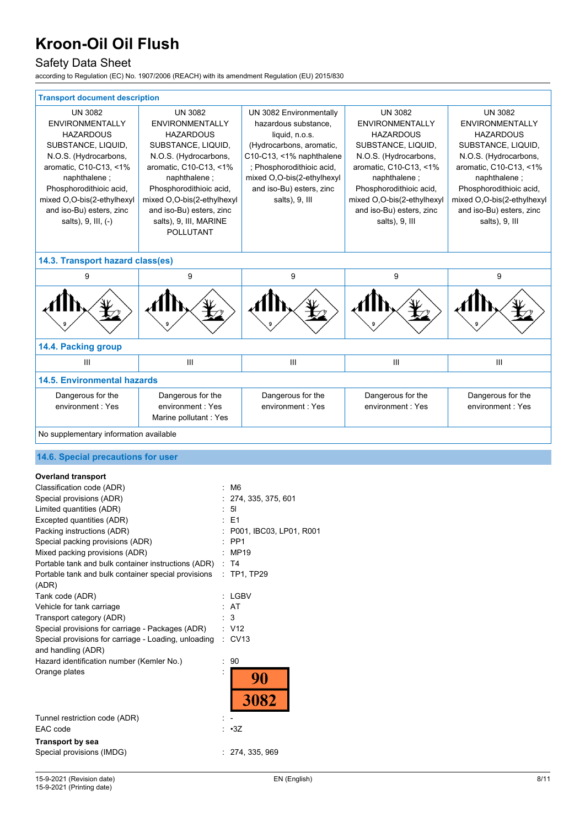## Safety Data Sheet

according to Regulation (EC) No. 1907/2006 (REACH) with its amendment Regulation (EU) 2015/830

| <b>Transport document description</b>                                                                                                                                                                                                                             |                                                                                                                                                                                                                                                                                          |                                                                                                                                                                                                                                    |                                                                                                                                                                                                                                                              |                                                                                                                                                                                                                                                              |
|-------------------------------------------------------------------------------------------------------------------------------------------------------------------------------------------------------------------------------------------------------------------|------------------------------------------------------------------------------------------------------------------------------------------------------------------------------------------------------------------------------------------------------------------------------------------|------------------------------------------------------------------------------------------------------------------------------------------------------------------------------------------------------------------------------------|--------------------------------------------------------------------------------------------------------------------------------------------------------------------------------------------------------------------------------------------------------------|--------------------------------------------------------------------------------------------------------------------------------------------------------------------------------------------------------------------------------------------------------------|
| <b>UN 3082</b><br><b>ENVIRONMENTALLY</b><br><b>HAZARDOUS</b><br>SUBSTANCE, LIQUID,<br>N.O.S. (Hydrocarbons,<br>aromatic, C10-C13, <1%<br>naphthalene;<br>Phosphorodithioic acid,<br>mixed O,O-bis(2-ethylhexyl<br>and iso-Bu) esters, zinc<br>salts), 9, III, (-) | <b>UN 3082</b><br><b>ENVIRONMENTALLY</b><br><b>HAZARDOUS</b><br>SUBSTANCE, LIQUID,<br>N.O.S. (Hydrocarbons,<br>aromatic, C10-C13, <1%<br>naphthalene;<br>Phosphorodithioic acid,<br>mixed O,O-bis(2-ethylhexyl<br>and iso-Bu) esters, zinc<br>salts), 9, III, MARINE<br><b>POLLUTANT</b> | UN 3082 Environmentally<br>hazardous substance,<br>liquid, n.o.s.<br>(Hydrocarbons, aromatic,<br>C10-C13, <1% naphthalene<br>; Phosphorodithioic acid,<br>mixed O,O-bis(2-ethylhexyl<br>and iso-Bu) esters, zinc<br>salts), 9, III | <b>UN 3082</b><br><b>ENVIRONMENTALLY</b><br><b>HAZARDOUS</b><br>SUBSTANCE, LIQUID,<br>N.O.S. (Hydrocarbons,<br>aromatic, C10-C13, <1%<br>naphthalene;<br>Phosphorodithioic acid,<br>mixed O,O-bis(2-ethylhexyl<br>and iso-Bu) esters, zinc<br>salts), 9, III | <b>UN 3082</b><br><b>ENVIRONMENTALLY</b><br><b>HAZARDOUS</b><br>SUBSTANCE, LIQUID,<br>N.O.S. (Hydrocarbons,<br>aromatic, C10-C13, <1%<br>naphthalene;<br>Phosphorodithioic acid,<br>mixed O,O-bis(2-ethylhexyl<br>and iso-Bu) esters, zinc<br>salts), 9, III |
| 14.3. Transport hazard class(es)                                                                                                                                                                                                                                  |                                                                                                                                                                                                                                                                                          |                                                                                                                                                                                                                                    |                                                                                                                                                                                                                                                              |                                                                                                                                                                                                                                                              |
|                                                                                                                                                                                                                                                                   |                                                                                                                                                                                                                                                                                          |                                                                                                                                                                                                                                    |                                                                                                                                                                                                                                                              |                                                                                                                                                                                                                                                              |
| 9                                                                                                                                                                                                                                                                 | 9                                                                                                                                                                                                                                                                                        | 9                                                                                                                                                                                                                                  | 9                                                                                                                                                                                                                                                            | 9                                                                                                                                                                                                                                                            |
|                                                                                                                                                                                                                                                                   |                                                                                                                                                                                                                                                                                          |                                                                                                                                                                                                                                    |                                                                                                                                                                                                                                                              |                                                                                                                                                                                                                                                              |
| 14.4. Packing group                                                                                                                                                                                                                                               |                                                                                                                                                                                                                                                                                          |                                                                                                                                                                                                                                    |                                                                                                                                                                                                                                                              |                                                                                                                                                                                                                                                              |
| III                                                                                                                                                                                                                                                               | III                                                                                                                                                                                                                                                                                      | III                                                                                                                                                                                                                                | III                                                                                                                                                                                                                                                          | III                                                                                                                                                                                                                                                          |
| <b>14.5. Environmental hazards</b>                                                                                                                                                                                                                                |                                                                                                                                                                                                                                                                                          |                                                                                                                                                                                                                                    |                                                                                                                                                                                                                                                              |                                                                                                                                                                                                                                                              |
| Dangerous for the<br>environment: Yes                                                                                                                                                                                                                             | Dangerous for the<br>environment: Yes<br>Marine pollutant: Yes                                                                                                                                                                                                                           | Dangerous for the<br>environment: Yes                                                                                                                                                                                              | Dangerous for the<br>environment: Yes                                                                                                                                                                                                                        | Dangerous for the<br>environment: Yes                                                                                                                                                                                                                        |

### **14.6. Special precautions for user**

#### **Overland transport**

| Classification code (ADR)                            | M6                      |
|------------------------------------------------------|-------------------------|
| Special provisions (ADR)                             | 274, 335, 375, 601      |
| Limited quantities (ADR)                             | : 51                    |
| Excepted quantities (ADR)                            | : E1                    |
| Packing instructions (ADR)                           | P001, IBC03, LP01, R001 |
| Special packing provisions (ADR)                     | PP <sub>1</sub>         |
| Mixed packing provisions (ADR)                       | MP19                    |
| Portable tank and bulk container instructions (ADR)  | $:$ T4                  |
| Portable tank and bulk container special provisions  | $:$ TP1, TP29           |
| (ADR)                                                |                         |
| Tank code (ADR)                                      | LGBV                    |
| Vehicle for tank carriage                            | AT                      |
| Transport category (ADR)                             | 3                       |
| Special provisions for carriage - Packages (ADR)     | V12                     |
| Special provisions for carriage - Loading, unloading | $\therefore$ CV13       |
| and handling (ADR)                                   |                         |
| Hazard identification number (Kemler No.)            | 90                      |
| Orange plates                                        |                         |
|                                                      | 3082                    |
| Tunnel restriction code (ADR)                        |                         |
| EAC code                                             | $\cdot$ 3Z              |
|                                                      |                         |

Special provisions (IMDG)  $\qquad \qquad$  : 274, 335, 969

**Transport by sea**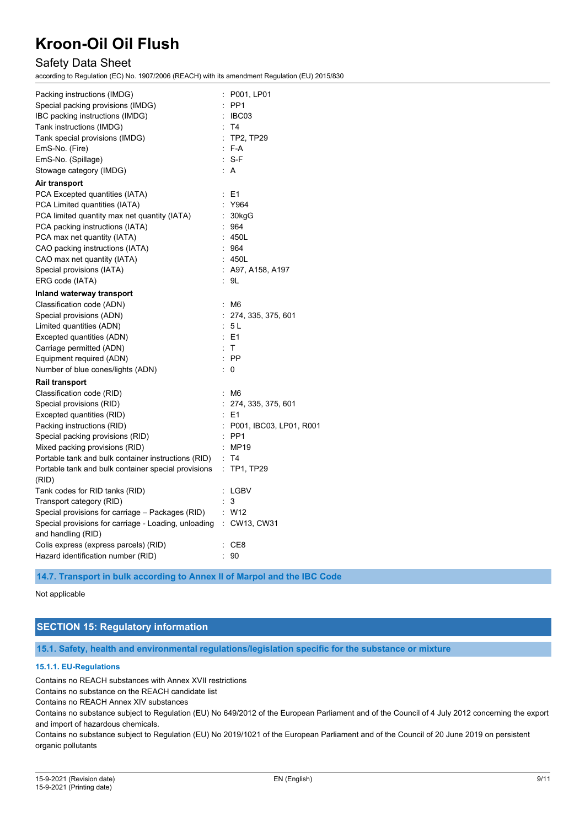### Safety Data Sheet

according to Regulation (EC) No. 1907/2006 (REACH) with its amendment Regulation (EU) 2015/830

| Packing instructions (IMDG)                          | : P001, LP01              |
|------------------------------------------------------|---------------------------|
| Special packing provisions (IMDG)                    | PP <sub>1</sub>           |
| IBC packing instructions (IMDG)                      | $\therefore$ IBC03        |
| Tank instructions (IMDG)                             | : T4                      |
| Tank special provisions (IMDG)                       | $:$ TP2, TP29             |
| EmS-No. (Fire)                                       | : F-A                     |
| EmS-No. (Spillage)                                   | $: S-F$                   |
| Stowage category (IMDG)                              | : A                       |
| Air transport                                        |                           |
| PCA Excepted quantities (IATA)                       | : E1                      |
| PCA Limited quantities (IATA)                        | : Y964                    |
| PCA limited quantity max net quantity (IATA)         | : 30kgG                   |
| PCA packing instructions (IATA)                      | : 964                     |
| PCA max net quantity (IATA)                          | : 450L                    |
| CAO packing instructions (IATA)                      | 964                       |
| CAO max net quantity (IATA)                          | : 450L                    |
| Special provisions (IATA)                            | : A97, A158, A197         |
| ERG code (IATA)                                      | : 9L                      |
| Inland waterway transport                            |                           |
| Classification code (ADN)                            | : M6                      |
| Special provisions (ADN)                             | : 274, 335, 375, 601      |
| Limited quantities (ADN)                             | : 5 L                     |
| Excepted quantities (ADN)                            | $E = 1$                   |
| Carriage permitted (ADN)                             | : T                       |
| Equipment required (ADN)                             | $:$ PP                    |
| Number of blue cones/lights (ADN)                    | $\colon 0$                |
| <b>Rail transport</b>                                |                           |
| Classification code (RID)                            | : M6                      |
| Special provisions (RID)                             | : 274, 335, 375, 601      |
| Excepted quantities (RID)                            | $\therefore$ E1           |
| Packing instructions (RID)                           | : P001, IBC03, LP01, R001 |
| Special packing provisions (RID)                     | $:$ PP1                   |
| Mixed packing provisions (RID)                       | : MP19                    |
| Portable tank and bulk container instructions (RID)  | : T4                      |
| Portable tank and bulk container special provisions  | $:$ TP1, TP29             |
| (RID)                                                |                           |
| Tank codes for RID tanks (RID)                       | : LGBV                    |
| Transport category (RID)                             | : 3                       |
| Special provisions for carriage - Packages (RID)     | : W12                     |
| Special provisions for carriage - Loading, unloading | : CW13, CW31              |
| and handling (RID)                                   |                           |
| Colis express (express parcels) (RID)                | : CE8                     |
| Hazard identification number (RID)                   | : 90                      |
|                                                      |                           |

**14.7. Transport in bulk according to Annex II of Marpol and the IBC Code**

#### Not applicable

### **SECTION 15: Regulatory information**

**15.1. Safety, health and environmental regulations/legislation specific for the substance or mixture**

#### **15.1.1. EU-Regulations**

Contains no REACH substances with Annex XVII restrictions

Contains no substance on the REACH candidate list

Contains no REACH Annex XIV substances

Contains no substance subject to Regulation (EU) No 649/2012 of the European Parliament and of the Council of 4 July 2012 concerning the export and import of hazardous chemicals.

Contains no substance subject to Regulation (EU) No 2019/1021 of the European Parliament and of the Council of 20 June 2019 on persistent organic pollutants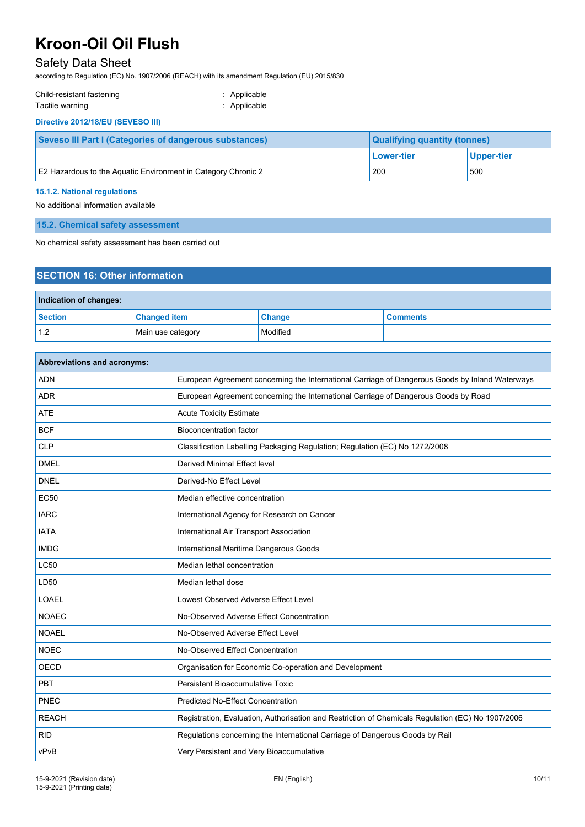## Safety Data Sheet

according to Regulation (EC) No. 1907/2006 (REACH) with its amendment Regulation (EU) 2015/830

| Child-resistant fastening<br>Tactile warning                  | Applicable<br>: Applicable |                                     |                   |  |
|---------------------------------------------------------------|----------------------------|-------------------------------------|-------------------|--|
| Directive 2012/18/EU (SEVESO III)                             |                            |                                     |                   |  |
| Seveso III Part I (Categories of dangerous substances)        |                            | <b>Qualifying quantity (tonnes)</b> |                   |  |
|                                                               |                            | <b>Lower-tier</b>                   | <b>Upper-tier</b> |  |
| E2 Hazardous to the Aquatic Environment in Category Chronic 2 |                            | 200                                 | 500               |  |

#### **15.1.2. National regulations**

No additional information available

**15.2. Chemical safety assessment**

No chemical safety assessment has been carried out

| <b>SECTION 16: Other information</b> |                     |          |                 |  |
|--------------------------------------|---------------------|----------|-----------------|--|
| Indication of changes:               |                     |          |                 |  |
| <b>Section</b>                       | <b>Changed item</b> | Change   | <b>Comments</b> |  |
| 1.2                                  | Main use category   | Modified |                 |  |

| Abbreviations and acronyms: |                                                                                                   |
|-----------------------------|---------------------------------------------------------------------------------------------------|
| <b>ADN</b>                  | European Agreement concerning the International Carriage of Dangerous Goods by Inland Waterways   |
| <b>ADR</b>                  | European Agreement concerning the International Carriage of Dangerous Goods by Road               |
| <b>ATE</b>                  | <b>Acute Toxicity Estimate</b>                                                                    |
| <b>BCF</b>                  | <b>Bioconcentration factor</b>                                                                    |
| <b>CLP</b>                  | Classification Labelling Packaging Regulation; Regulation (EC) No 1272/2008                       |
| <b>DMEL</b>                 | <b>Derived Minimal Effect level</b>                                                               |
| <b>DNEL</b>                 | Derived-No Effect Level                                                                           |
| <b>EC50</b>                 | Median effective concentration                                                                    |
| <b>IARC</b>                 | International Agency for Research on Cancer                                                       |
| <b>IATA</b>                 | International Air Transport Association                                                           |
| <b>IMDG</b>                 | International Maritime Dangerous Goods                                                            |
| <b>LC50</b>                 | Median lethal concentration                                                                       |
| LD50                        | Median lethal dose                                                                                |
| LOAEL                       | Lowest Observed Adverse Effect Level                                                              |
| <b>NOAEC</b>                | No-Observed Adverse Effect Concentration                                                          |
| <b>NOAEL</b>                | No-Observed Adverse Effect Level                                                                  |
| <b>NOEC</b>                 | No-Observed Effect Concentration                                                                  |
| <b>OECD</b>                 | Organisation for Economic Co-operation and Development                                            |
| <b>PBT</b>                  | Persistent Bioaccumulative Toxic                                                                  |
| PNEC                        | <b>Predicted No-Effect Concentration</b>                                                          |
| <b>REACH</b>                | Registration, Evaluation, Authorisation and Restriction of Chemicals Regulation (EC) No 1907/2006 |
| <b>RID</b>                  | Regulations concerning the International Carriage of Dangerous Goods by Rail                      |
| vPvB                        | Very Persistent and Very Bioaccumulative                                                          |